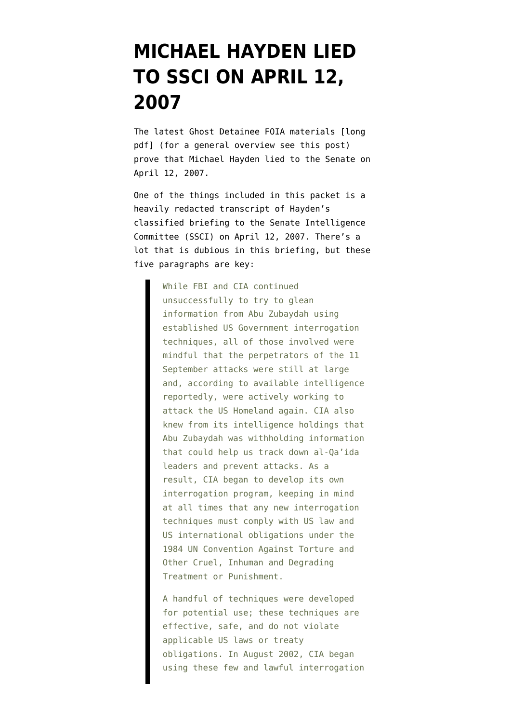## **[MICHAEL HAYDEN LIED](https://www.emptywheel.net/2010/02/22/michael-hayden-lied-to-ssci-on-april-12-2007/) [TO SSCI ON APRIL 12,](https://www.emptywheel.net/2010/02/22/michael-hayden-lied-to-ssci-on-april-12-2007/) [2007](https://www.emptywheel.net/2010/02/22/michael-hayden-lied-to-ssci-on-april-12-2007/)**

The [latest Ghost Detainee FOIA materials](http://static1.firedoglake.com/28/files/2010/02/100219_CIA_release1.pdf) [long pdf] (for a general overview see [this post](http://emptywheel.firedoglake.com/2010/02/22/ghost-detainee-foia-release/)) prove that Michael Hayden lied to the Senate on April 12, 2007.

One of the things included in this packet is a heavily redacted transcript of Hayden's classified briefing to the Senate Intelligence Committee (SSCI) on April 12, 2007. There's a lot that is dubious in this briefing, but these five paragraphs are key:

> While FBI and CIA continued unsuccessfully to try to glean information from Abu Zubaydah using established US Government interrogation techniques, all of those involved were mindful that the perpetrators of the 11 September attacks were still at large and, according to available intelligence reportedly, were actively working to attack the US Homeland again. CIA also knew from its intelligence holdings that Abu Zubaydah was withholding information that could help us track down al-Qa'ida leaders and prevent attacks. As a result, CIA began to develop its own interrogation program, keeping in mind at all times that any new interrogation techniques must comply with US law and US international obligations under the 1984 UN Convention Against Torture and Other Cruel, Inhuman and Degrading Treatment or Punishment.

> A handful of techniques were developed for potential use; these techniques are effective, safe, and do not violate applicable US laws or treaty obligations. In August 2002, CIA began using these few and lawful interrogation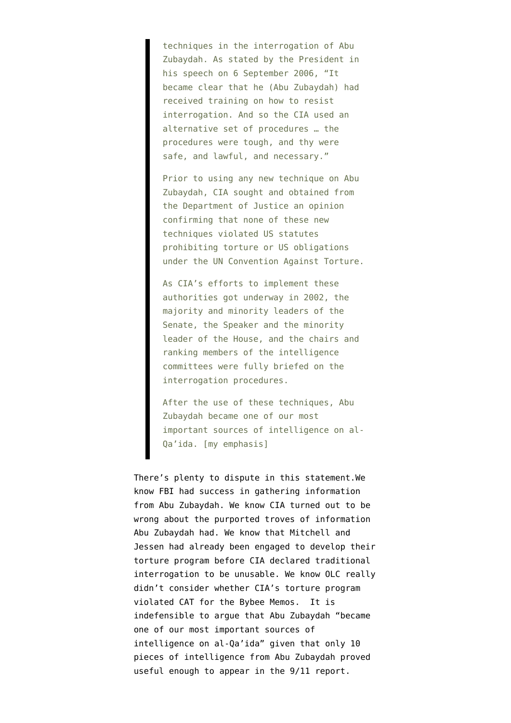techniques in the interrogation of Abu Zubaydah. As stated by the President in his speech on 6 September 2006, "It became clear that he (Abu Zubaydah) had received training on how to resist interrogation. And so the CIA used an alternative set of procedures … the procedures were tough, and thy were safe, and lawful, and necessary."

Prior to using any new technique on Abu Zubaydah, CIA sought and obtained from the Department of Justice an opinion confirming that none of these new techniques violated US statutes prohibiting torture or US obligations under the UN Convention Against Torture.

As CIA's efforts to implement these authorities got underway in 2002, the majority and minority leaders of the Senate, the Speaker and the minority leader of the House, and the chairs and ranking members of the intelligence committees were fully briefed on the interrogation procedures.

After the use of these techniques, Abu Zubaydah became one of our most important sources of intelligence on al-Qa'ida. [my emphasis]

There's plenty to dispute in this statement.We know FBI had success in gathering information from Abu Zubaydah. We know CIA turned out to be wrong about the purported troves of information Abu Zubaydah had. We know that Mitchell and Jessen had already been engaged to develop their torture program before CIA declared traditional interrogation to be unusable. We know OLC really didn't consider whether CIA's torture program violated CAT for the Bybee Memos. It is indefensible to argue that Abu Zubaydah "became one of our most important sources of intelligence on al-Qa'ida" given that only 10 pieces of intelligence from Abu Zubaydah [proved](http://emptywheel.firedoglake.com/2009/04/22/abu-zubaydah-waterboarded-83-times-for-10-pieces-of-intelligence/) [useful enough to appear in the 9/11 report](http://emptywheel.firedoglake.com/2009/04/22/abu-zubaydah-waterboarded-83-times-for-10-pieces-of-intelligence/).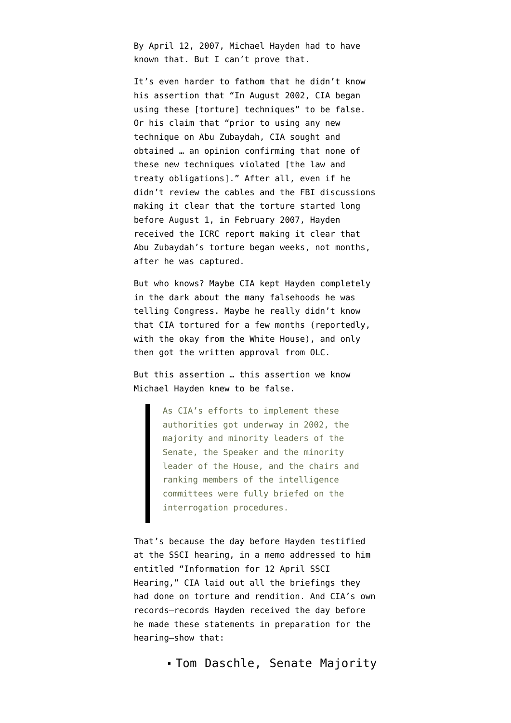By April 12, 2007, Michael Hayden had to have known that. But I can't prove that.

It's even harder to fathom that he didn't know his assertion that "In August 2002, CIA began using these [torture] techniques" to be false. Or his claim that "prior to using any new technique on Abu Zubaydah, CIA sought and obtained … an opinion confirming that none of these new techniques violated [the law and treaty obligations]." After all, even if he didn't review the cables and the FBI discussions making it clear that the torture started long before August 1, in February 2007, Hayden received the [ICRC report](http://www.nybooks.com/icrc-report.pdf) making it clear that Abu Zubaydah's torture began weeks, not months, after he was captured.

But who knows? Maybe CIA kept Hayden completely in the dark about the many falsehoods he was telling Congress. Maybe he really didn't know that CIA tortured for a few months (reportedly, with the okay from the White House), and only then got the written approval from OLC.

But this assertion … this assertion we know Michael Hayden knew to be false.

> As CIA's efforts to implement these authorities got underway in 2002, the majority and minority leaders of the Senate, the Speaker and the minority leader of the House, and the chairs and ranking members of the intelligence committees were fully briefed on the interrogation procedures.

That's because the day before Hayden testified at the SSCI hearing, in a memo addressed to him entitled "Information for 12 April SSCI Hearing," CIA laid out all the briefings they had done on torture and rendition. And CIA's own records–records Hayden received the day before he made these statements in preparation for the hearing–show that:

Tom Daschle, Senate Majority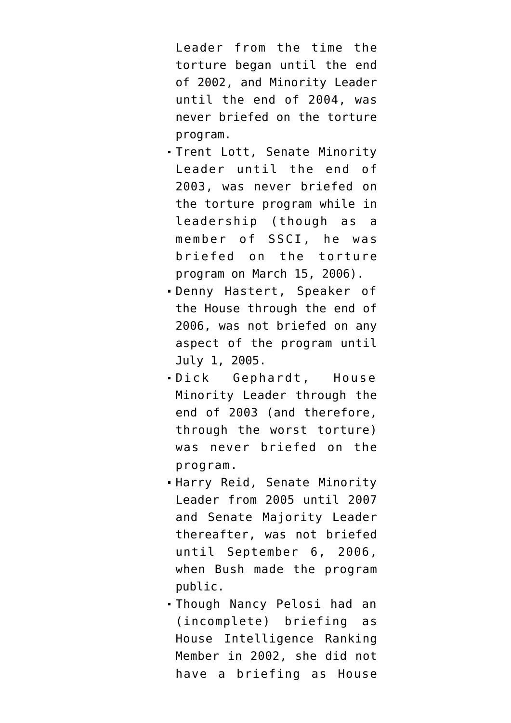Leader from the time the torture began until the end of 2002, and Minority Leader until the end of 2004, was never briefed on the torture program.

- Trent Lott, Senate Minority Leader until the end of 2003, was never briefed on the torture program while in leadership (though as a member of SSCI, he was briefed on the torture program on March 15, 2006).
- Denny Hastert, Speaker of the House through the end of 2006, was not briefed on any aspect of the program until July 1, 2005.
- Dick Gephardt, House Minority Leader through the end of 2003 (and therefore, through the worst torture) was never briefed on the program.
- Harry Reid, Senate Minority Leader from 2005 until 2007 and Senate Majority Leader thereafter, was not briefed until September 6, 2006, when Bush made the program public.
- Though Nancy Pelosi had an (incomplete) briefing as House Intelligence Ranking Member in 2002, she did not have a briefing as House